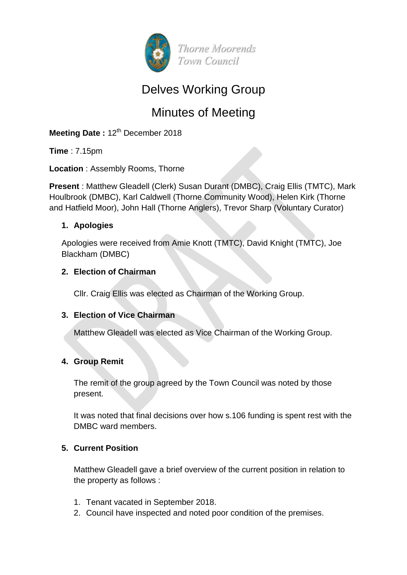

## Delves Working Group

# Minutes of Meeting

**Meeting Date: 12<sup>th</sup> December 2018** 

**Time** : 7.15pm

**Location** : Assembly Rooms, Thorne

**Present** : Matthew Gleadell (Clerk) Susan Durant (DMBC), Craig Ellis (TMTC), Mark Houlbrook (DMBC), Karl Caldwell (Thorne Community Wood), Helen Kirk (Thorne and Hatfield Moor), John Hall (Thorne Anglers), Trevor Sharp (Voluntary Curator)

#### **1. Apologies**

Apologies were received from Amie Knott (TMTC), David Knight (TMTC), Joe Blackham (DMBC)

#### **2. Election of Chairman**

Cllr. Craig Ellis was elected as Chairman of the Working Group.

## **3. Election of Vice Chairman**

Matthew Gleadell was elected as Vice Chairman of the Working Group.

## **4. Group Remit**

The remit of the group agreed by the Town Council was noted by those present.

It was noted that final decisions over how s.106 funding is spent rest with the DMBC ward members.

## **5. Current Position**

Matthew Gleadell gave a brief overview of the current position in relation to the property as follows :

- 1. Tenant vacated in September 2018.
- 2. Council have inspected and noted poor condition of the premises.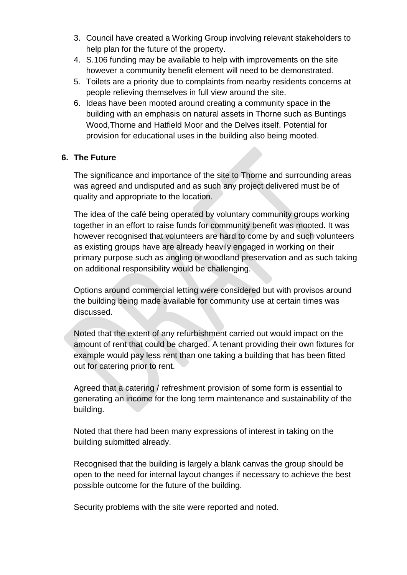- 3. Council have created a Working Group involving relevant stakeholders to help plan for the future of the property.
- 4. S.106 funding may be available to help with improvements on the site however a community benefit element will need to be demonstrated.
- 5. Toilets are a priority due to complaints from nearby residents concerns at people relieving themselves in full view around the site.
- 6. Ideas have been mooted around creating a community space in the building with an emphasis on natural assets in Thorne such as Buntings Wood,Thorne and Hatfield Moor and the Delves itself. Potential for provision for educational uses in the building also being mooted.

#### **6. The Future**

The significance and importance of the site to Thorne and surrounding areas was agreed and undisputed and as such any project delivered must be of quality and appropriate to the location.

The idea of the café being operated by voluntary community groups working together in an effort to raise funds for community benefit was mooted. It was however recognised that volunteers are hard to come by and such volunteers as existing groups have are already heavily engaged in working on their primary purpose such as angling or woodland preservation and as such taking on additional responsibility would be challenging.

Options around commercial letting were considered but with provisos around the building being made available for community use at certain times was discussed.

Noted that the extent of any refurbishment carried out would impact on the amount of rent that could be charged. A tenant providing their own fixtures for example would pay less rent than one taking a building that has been fitted out for catering prior to rent.

Agreed that a catering / refreshment provision of some form is essential to generating an income for the long term maintenance and sustainability of the building.

Noted that there had been many expressions of interest in taking on the building submitted already.

Recognised that the building is largely a blank canvas the group should be open to the need for internal layout changes if necessary to achieve the best possible outcome for the future of the building.

Security problems with the site were reported and noted.